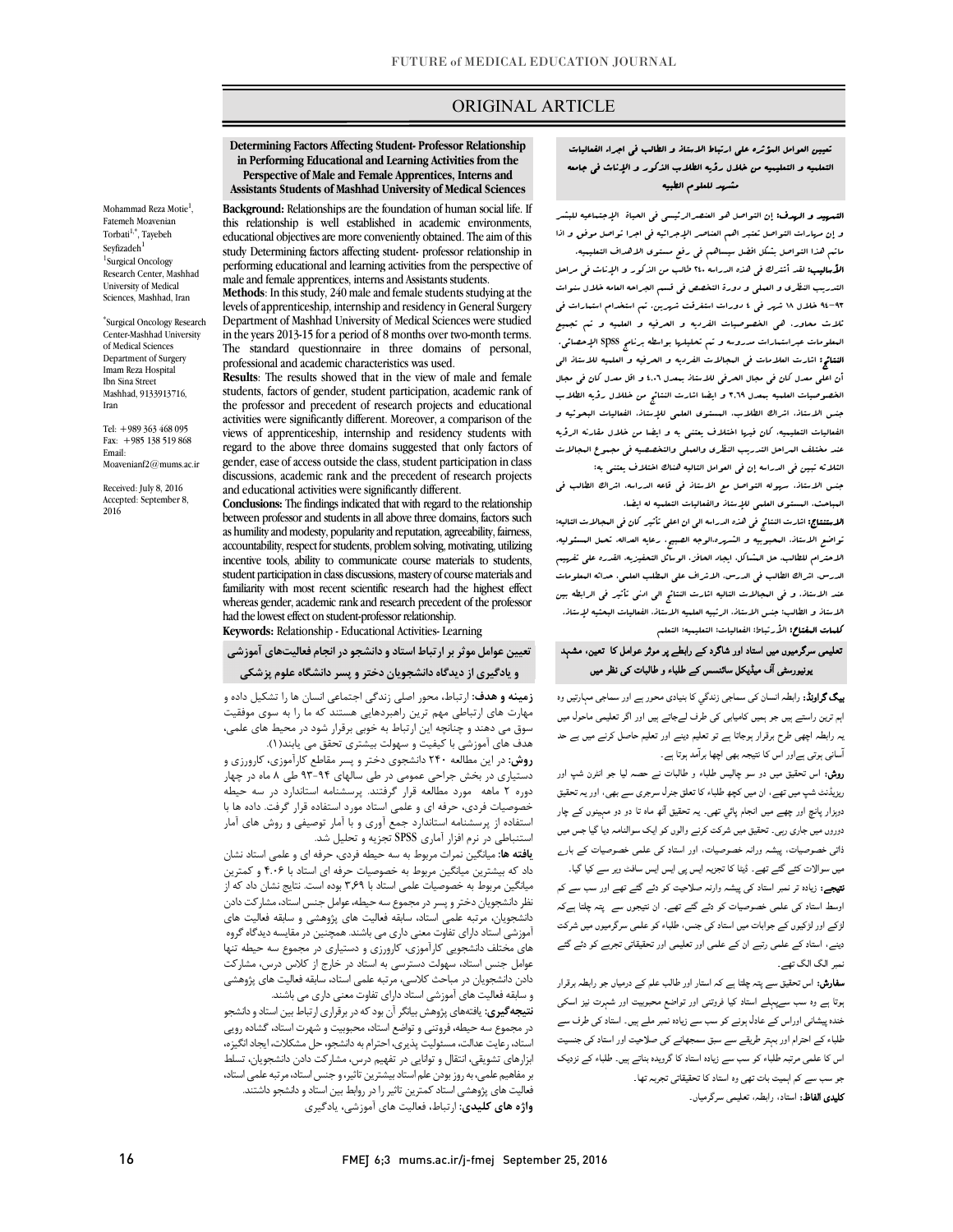# ORIGINAL ARTICLE

# **Determining Factors Affecting Student- Professor Relationship in Performing Educational and Learning Activities from the Perspective of Male and Female Apprentices, Interns and Assistants Students of Mashhad University of Medical Sciences**

Ī

 **Background:** Relationships are the foundation of human social life. If this relationship is well established in academic environments, educational objectives are more conveniently obtained. The aim of this performing educational and learning activities from the perspective of male and female apprentices, interns and Assistants students. study Determining factors affecting student- professor relationship in

 levels of apprenticeship, internship and residency in General Surgery Department of Mashhad University of Medical Sciences were studied The standard questionnaire in three domains of personal, professional and academic characteristics was used. **Methods**: In this study, 240 male and female students studying at the in the years 2013-15 for a period of 8 months over two-month terms.

 students, factors of gender, student participation, academic rank of the professor and precedent of research projects and educational views of apprenticeship, internship and residency students with regard to the above three domains suggested that only factors of discussions, academic rank and the precedent of research projects and educational activities were significantly different. **Results**: The results showed that in the view of male and female activities were significantly different. Moreover, a comparison of the gender, ease of access outside the class, student participation in class

 between professor and students in all above three domains, factors such as humility and modesty, popularity and reputation, agreeability, fairness, incentive tools, ability to communicate course materials to students, student participation in class discussions, mastery of course materials and whereas gender, academic rank and research precedent of the professor had the lowest effect on student-professor relationship. **Conclusions:** The findings indicated that with regard to the relationship accountability, respect for students, problem solving, motivating, utilizing familiarity with most recent scientific research had the highest effect

**Keywords:** Relationship - Educational Activities- Learning

# **تعیین عوامل موثر بر ارتباط استاد و دانشجو در انجام فعالیتهاي آموزشی**   $\ddot{\phantom{0}}$ **و یادگیري از دیدگاه دانشجویان دختر و پسر دانشگاه علوم پزشکی**

رسینه و سات. ارتباط، محور اصلی رندلی اجتماعی اسان ها را تسکیل نامه و<br>مهارت های ارتباطی مهم ترین راهبردهایی هستند که ما را به سوی موفقیت سوق می دهند و چنانچه این ارتباط به خوبی برقرار شود در محیط هاي علمی، هدف هاي آموزشی با کیفیت و سهولت بیشتري تحقق می یابند(1). **زمینه و هدف:** ارتباط، محور اصلی زندگی اجتماعی انسان ها را تشکیل داده و

 **روش:** در این مطالعه 240 دانشجوي دختر و پسر مقاطع کارآموزي، کارورزي و دوره 2 ماهه مورد مطالعه قرار گرفتند. پرسشنامه استاندارد در سه حیطه خصوصیات فردي، حرفه اي و علمی استاد مورد استفاده قرار گرفت. داده ها با استنباطی در نرم افزار آماري SPSS تجزیه و تحلیل شد. دستیاري در بخش جراحی عمومی در طی سالهاي 93-94 طی 8 ماه در چهار استفاده از پرسشنامه استاندارد جمع آوري و با آمار توصیفی و روش هاي آمار

 **یافته ها:** میانگین نمرات مربوط به سه حیطه فردي، حرفه اي و علمی استاد نشان داد که بیشترین میانگین مربوط به خصوصیات حرفه اي استاد با 4.06 و کمترین میانگین مربوط به خصوصیات علمی استاد با ۳٫۶۹ بوده است. نتایج نشان داد که از<br>نتایجان داده بیار نتایج دانشجویان، مرتبه علمی استاد، سابقه فعالیت هاي پژوهشی و سابقه فعالیت هاي آموزشی استاد داراي تفاوت معنی داري می باشند. همچنین درمقایسه دیدگاهگروه عوامل جنس استاد، سهولت دسترسی به استاد در خارج از کلاس درس، مشارکت دادن دانشجویان در مباحث کلاسی، مرتبه علمی استاد، سابقه فعالیت هاي پژوهشی و سابقه فعالیت هاي آموزشی استاد داراي تفاوت معنی داري می باشند. نظر دانشجویان دختر و پسر در مجموع سه حیطه، عوامل جنس استاد، مشارکت دادن هاي مختلف دانشجویی کارآموزي، کارورزي و دستیاري در مجموع سه حیطه تنها

میبه... میری. مسیح می پروتنس بیمتر این بود - مر برتراری ارتباط بین استاد و ماستار<br>در مجموع سه حیطه، فروتنی و تواضع استاد، محبوبیت و شهرت استاد، گشاده رویی استاد، رعایت عدالت، مسئولیت پذیري، احترام به دانشجو، حل مشکلات، ایجاد انگیزه، ابزارهاي تشویقی، انتقال و توانایی در تفهیم درس، مشارکت دادن دانشجویان، تسلط بر متحیم استای پا روز بودن سم استاد بیسترین حیرا و استان استاد مرتبا استان<br>فعالیت های پژوهشی استاد کمترین تاثیر را در روابط بین استاد و دانشجو داشتند. **واژه هاي کلیدي:** ارتباط، فعالیت هاي آموزشی، یادگیري **نتیجهگیری:** یافتههای پژوهش بیانگر آن بود که در برقراری ارتباط بین استاد و دانشجو بر مفاهیم علمی، به روز بودن علم استاد بیشترین تاثیر، و جنس استاد، مرتبه علمی استاد،

 تعیین العوامل المؤثره علی ارتباط الاستاذ و الطالب فی اجراء الفعالیات التعلمیه و التعلیمیه من خلال رؤیه الطلاب الذکور و الإناث فی جامعه مشهد للعلوم الطبیه

ص

.<br>**التسهید و الهدف:** إن التواصل هو العنصرالرئیسی فی الحیاة الإجتماعیه للبشر و إن مهارات التواصل تعتبر اهم العناصر الإجرائیه فی اجرا تواصل موفق و اذا المبرد المداف المال من المداد و الأمر كل من الذكور و الإناث فی مراحل<br>**الأساليب:** لقد أشترك فی هذه الدراسه ٢٤٠ طالب من الذكور و الإناث فی مراحل التدریب النظري و العملی و دورة التخصص فی قسم الجراحه العامه خلال سنوات 94-93 خلال 18 شهر فی 4 دورات استغرقت شهرین. تم استخدام استمارات فی ثلاث محاور، هی الخصوصیات الفردیه و الحرفیه و العلمیه و تم تجمیع المعلومات عبراستمارات مدروسه و تم تحلیلها بواسطه برنامج spss الإحصائی. **النتائج:** اشارت العلامات فی المجالات الفردیه و الحرفیه و العلمیه للاستاذ الی<br>. الخصوصیات العلمیه بمعدل 3,69 و ایضا اشارت النتائج من خللال رؤیه الطلاب جنس الاستاذ، اشراك الطلاب، المستوي العلمی للإستاذ، الفعالیات البحوثیه و الفعالیات التعلیمیه، کان فیها اختلاف یعتنی به و ایضا من خلال مقارنه الرؤیه عند مختلف المراحل التدریب النظري والعملی والتخصصیه فی مجموع المجالات الثلاثه تبین فی الدراسه إن فی العوامل التالیه هناك اختلاف یعتنی به: جنس الاستاذ، سهوله التواصل مع الاستاذ فی قاعه الدراسه، اشراك الطالب فی ماتم هذا التواصل بشکل افضل سیساهم فی رفع مستوي الاهداف التعلیمیه. أن اعلی معدل کان فی مجال الحرفی للاستاذ بمعدل 4,06 و اقل معدل کان فی مجال

 الاستنتاج: اشارت النتائج فی هذه الدراسه الی ان اعلی تأثیر کان فی المجالات التالیه: تواضع الاستاذ، المحبوبیه و الشهره،الوجه الصبیح، رعایه العداله، تحمل المسئولیه، الاحترام للطالب، حل المشاکل، ایجاد الحافز، الوسائل التحفیزیه، القدره علی تفهیم الدرس، اشراك الطالب فی الدرس، الاشراف علی المطلب العلمی، حداثه المعلومات عند الاستاذ. و فی المجالات التالیه اشارت النتائج الی ادنی تأثیر فی الرابطه بین کلمات الامتاعی، جس الاسات، الامبین، التعلیمی، التعلم<br>**کلمات العفتاح:** الأرتباط: الفعالیات: التعلیمیه؛ التعلم المباحث، المستوي العلمی للإستاذ والفعالیات التعلمیه له ایضا. الاستاذ و الطالب: جنس الاستاذ، الرتبیه العلمیه الاستاذ، الفعالیات البحثیه لإستاذ.

# ں<br>نعلیمی سرگرمیوں میں استاد اور شاگرد کے رابطے پر موثر عوامل کا تعین، مشہد ر آف ء و ت

**بيگ گراونڈ:** رابطہ انسان کي سماجي زندگي کا بنيادي محور ٻے اور سماجي مٻارتيں وه<br>. بہم بہن رستے ہیں جو پسیں جس بی سی حرب ہے بھی مرز مو جس کو بی ہیں۔<br>یہ رابطہ اچھی طرح برقرار ہوجاتا ہے تو تعلیم دینے اور تعلیم حاصل کرنے میں بے حد ۔ جسمت کے بعد عبد ہے کہ جسمت ہے۔<br>آسانی ہوتی ہےاور اس کا نتیجہ بھی اچھا برآمد ہوتا ہے۔ اہم ترین راستے ہیں جو ہمیں کامیابی کی طرف لےجاتے ہیں اور اگر تعلیمی ماحول میں

روش: اس تحقیق میں دو سو چالیس طلباء و طالبات نے حصہ لیا جو انٹرن شپ اور ریزیڈنٹ شپ میں تھے، ان میں کچھ طلباء کا تعلق جنرل سرجری سے بھی، اور یہ تحقیق دوہزار پانچ اور چھے میں انجام پائي تھی۔ یہ تحقیق آٹھ ماہ تا دو دو مہینوں کے چار دوروں میں جاری رہی۔ تحقیق میں شرکت کرنے والوں کو ایک سوالنامہ دیا گیا جس میں ذاتی خصوصیات، پیشہ ورانہ خصوصیات، اور استاد کی علمی خصوصیات کے بارے میں سوالات کئے گئے تھے۔ ڈیٹا کا تجزیہ ایس پی ایس ایس سافٹ ویر سے کیا گیا۔ **نتیجے:** زیادہ تر نمبر استاد کی پیشہ وارنہ صلاحیت کو دئے گئے تھے اور سب سے کم<br>۔ ، مستحدہ ہی جسی سے سو سے سے بچے میں سے ہیں سے ہیں ہیں ہے۔<br>لڑکے اور لڑکیوں کے جوابات میں استاد کی جنس، طلباء کو علمی سرگرمیوں میں شرکت د ے در دیدہ کے دہی ہے۔ اس میں اس میں اس میں اس میں دیدہ ہے اور اس میں استاد کے علمی رتبے ہیں ۔<br>دینے، استاد کے علمی رتبے ان کے علمی اور تعلیمی اور تحقیقاتی تجربے کو دئے گئے اوسط استاد کی علمی خصوصیات کو دئے گئے تھے۔ ان نتیجوں سے پتہ چلتا ہےکہ نمبر الگ الگ تھے۔

**سفارش:** اس تحقیق سے پتہ چلتا ہے کہ استار اور طالب علم کے درمیاں جو رابطہ برقرار ہوتا ہے وہ سب سےپہلے استاد کیا فروتنی اور تواضع محبوبیت اور شہرت نیز اسکی خندہ پیشانی اوراس کے عادل ہونے کو سب سے زیادہ نمبر ملے ہیں۔ استاد کی طرف سے طلباء کے احترام اور بہتر طریقے سے سبق سمجھانے کی صلاحیت اور استاد کی جنسیت اس کا علمی مرتبہ طلباء کو سب سے زیادہ استاد کا گرویدہ بناتے ہیں۔ طلباء کے نزدیک جو سب سے کم اہمیت بات تھی وہ استاد کا تحقیقاتی تجربہ تھا۔ **کلیدی الفاظ:** استاد، رابطہ، تعلیمی سرگرمیاں۔<br>۔

Mohammad Reza Motie<sup>1</sup>, Fatemeh Moavenian Torbati<sup>1,\*</sup>, Tayebeh Seyfizadeh<sup>1</sup> 1 Surgical Oncology Research Center, Mashhad University of Medical Sciences, Mashhad, Iran

\* Surgical Oncology Research Center-Mashhad University of Medical Sciences Department of Surgery Imam Reza Hospital Ibn Sina Street Mashhad, 9133913716, Iran

Tel: +989 363 468 095 Fax: +985 138 519 868 Email: Moavenianf2@mums.ac.ir

Received: July 8, 2016 Accepted: September 8, 2016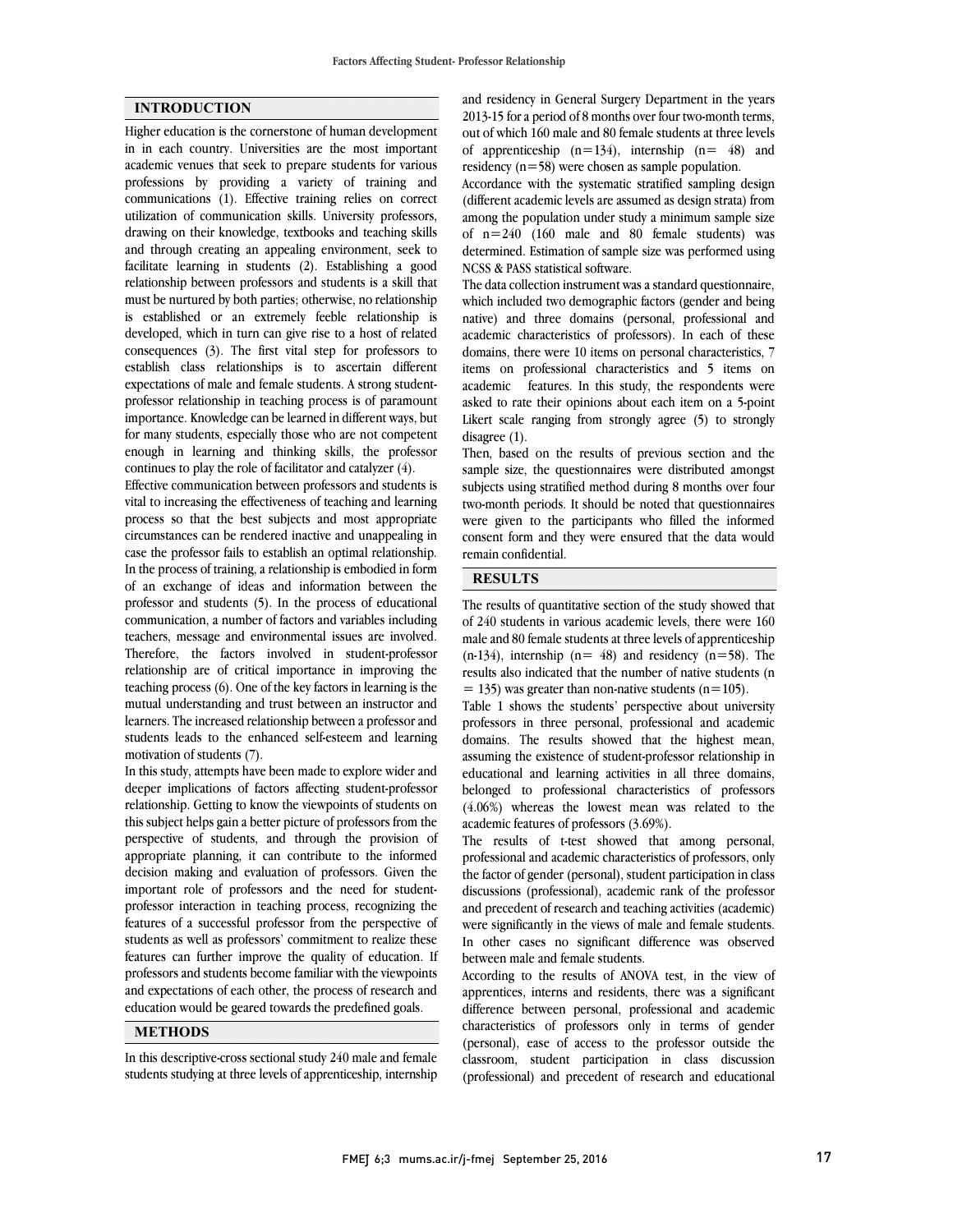### **INTRODUCTION**

Higher education is the cornerstone of human development in in each country. Universities are the most important academic venues that seek to prepare students for various professions by providing a variety of training and communications (1). Effective training relies on correct utilization of communication skills. University professors, drawing on their knowledge, textbooks and teaching skills and through creating an appealing environment, seek to facilitate learning in students (2). Establishing a good relationship between professors and students is a skill that must be nurtured by both parties; otherwise, no relationship is established or an extremely feeble relationship is developed, which in turn can give rise to a host of related consequences (3). The first vital step for professors to establish class relationships is to ascertain different expectations of male and female students. A strong studentprofessor relationship in teaching process is of paramount importance. Knowledge can be learned in different ways, but for many students, especially those who are not competent enough in learning and thinking skills, the professor continues to play the role of facilitator and catalyzer (4).

Effective communication between professors and students is vital to increasing the effectiveness of teaching and learning process so that the best subjects and most appropriate circumstances can be rendered inactive and unappealing in case the professor fails to establish an optimal relationship. In the process of training, a relationship is embodied in form of an exchange of ideas and information between the professor and students (5). In the process of educational communication, a number of factors and variables including teachers, message and environmental issues are involved. Therefore, the factors involved in student-professor relationship are of critical importance in improving the teaching process (6). One of the key factors in learning is the mutual understanding and trust between an instructor and learners. The increased relationship between a professor and students leads to the enhanced self-esteem and learning motivation of students (7).

In this study, attempts have been made to explore wider and deeper implications of factors affecting student-professor relationship. Getting to know the viewpoints of students on this subject helps gain a better picture of professors from the perspective of students, and through the provision of appropriate planning, it can contribute to the informed decision making and evaluation of professors. Given the important role of professors and the need for studentprofessor interaction in teaching process, recognizing the features of a successful professor from the perspective of students as well as professors' commitment to realize these features can further improve the quality of education. If professors and students become familiar with the viewpoints and expectations of each other, the process of research and education would be geared towards the predefined goals.

## **METHODS**

In this descriptive-cross sectional study 240 male and female students studying at three levels of apprenticeship, internship

 and residency in General Surgery Department in the years 2013-15 for a period of 8 months over four two-month terms, out of which 160 male and 80 female students at three levels of apprenticeship  $(n=134)$ , internship  $(n=48)$  and residency  $(n=58)$  were chosen as sample population.

Accordance with the systematic stratified sampling design (different academic levels are assumed as design strata) from among the population under study a minimum sample size of n=240 (160 male and 80 female students) was NCSS & PASS statistical software. determined. Estimation of sample size was performed using

 The data collection instrument was a standard questionnaire, which included two demographic factors (gender and being native) and three domains (personal, professional and domains, there were 10 items on personal characteristics, 7 items on professional characteristics and 5 items on academic features. In this study, the respondents were asked to rate their opinions about each item on a 5-point disagree (1). academic characteristics of professors). In each of these Likert scale ranging from strongly agree (5) to strongly

 Then, based on the results of previous section and the sample size, the questionnaires were distributed amongst subjects using stratified method during 8 months over four were given to the participants who filled the informed consent form and they were ensured that the data would remain confidential. two-month periods. It should be noted that questionnaires

### **RESULTS**

 The results of quantitative section of the study showed that of 240 students in various academic levels, there were 160 male and 80 female students at three levels of apprenticeship  $(n-134)$ , internship  $(n= 48)$  and residency  $(n=58)$ . The  $=$  135) was greater than non-native students (n=105). results also indicated that the number of native students (n

 Table 1 shows the students' perspective about university professors in three personal, professional and academic domains. The results showed that the highest mean, educational and learning activities in all three domains, belonged to professional characteristics of professors (4.06%) whereas the lowest mean was related to the academic features of professors (3.69%). assuming the existence of student-professor relationship in

professional and academic characteristics of professors, only the factor of gender (personal), student participation in class discussions (professional), academic rank of the professor and precedent of research and deathing activities (academic)<br>were significantly in the views of male and female students. In other cases no significant difference was observed between male and female students. The results of t-test showed that among personal, and precedent of research and teaching activities (academic)

 According to the results of ANOVA test, in the view of apprentices, interns and residents, there was a significant characteristics of professors only in terms of gender (personal), ease of access to the professor outside the classroom, student participation in class discussion (professional) and precedent of research and educational difference between personal, professional and academic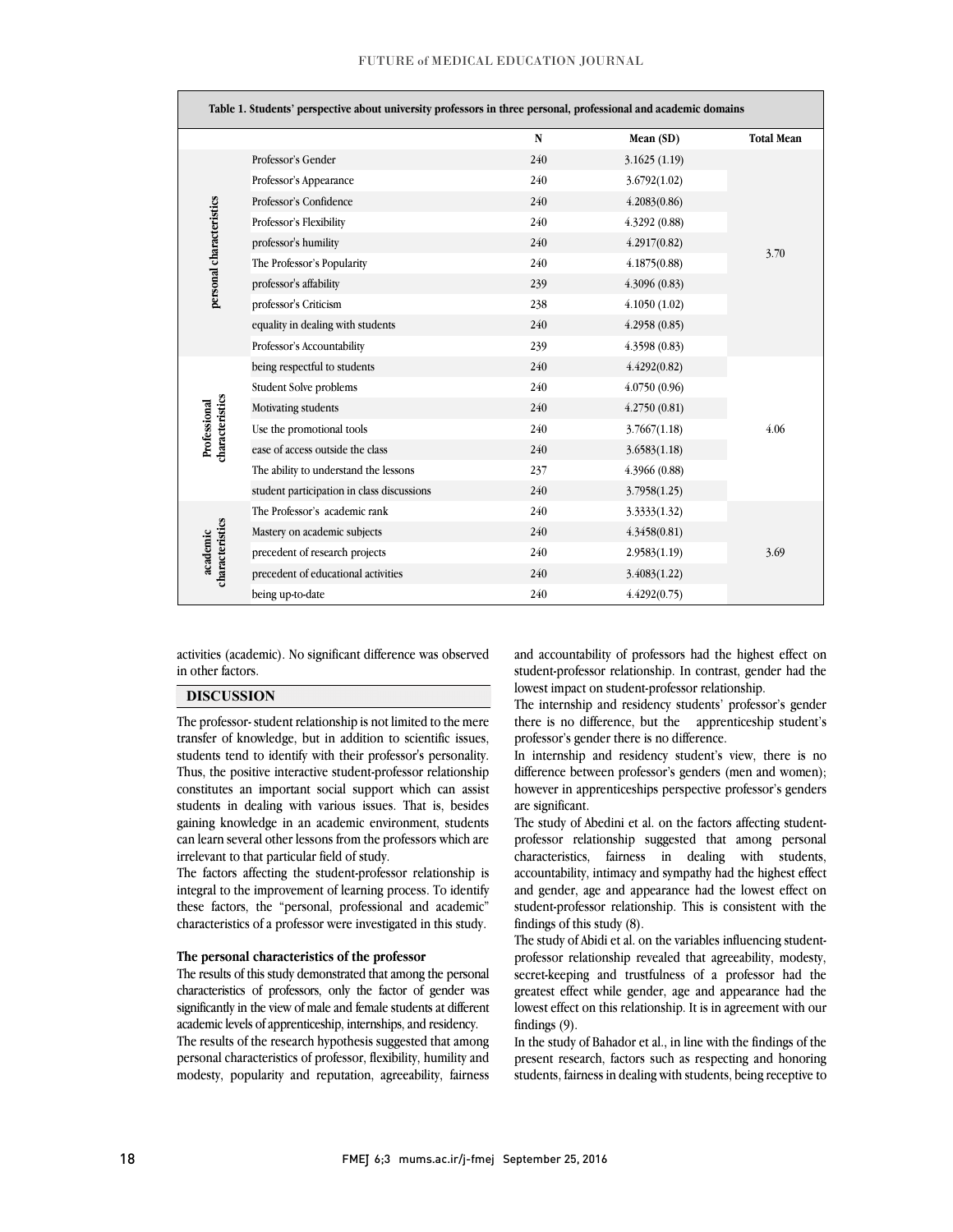| FUTURE of MEDICAL EDUCATION JOURNAL |  |  |
|-------------------------------------|--|--|
|-------------------------------------|--|--|

j

| Table 1. Students' perspective about university professors in three personal, professional and academic domains |                                            |           |               |                   |  |
|-----------------------------------------------------------------------------------------------------------------|--------------------------------------------|-----------|---------------|-------------------|--|
|                                                                                                                 |                                            | ${\bf N}$ | Mean (SD)     | <b>Total Mean</b> |  |
| personal characteristics                                                                                        | Professor's Gender                         | 240       | 3.1625(1.19)  | 3.70              |  |
|                                                                                                                 | Professor's Appearance                     | 240       | 3.6792(1.02)  |                   |  |
|                                                                                                                 | Professor's Confidence                     | 240       | 4.2083(0.86)  |                   |  |
|                                                                                                                 | Professor's Flexibility                    | 240       | 4.3292 (0.88) |                   |  |
|                                                                                                                 | professor's humility                       | 240       | 4.2917(0.82)  |                   |  |
|                                                                                                                 | The Professor's Popularity                 | 240       | 4.1875(0.88)  |                   |  |
|                                                                                                                 | professor's affability                     | 239       | 4.3096(0.83)  |                   |  |
|                                                                                                                 | professor's Criticism                      | 238       | 4.1050(1.02)  |                   |  |
|                                                                                                                 | equality in dealing with students          | 240       | 4.2958(0.85)  |                   |  |
|                                                                                                                 | Professor's Accountability                 | 239       | 4.3598(0.83)  |                   |  |
| characteristics<br>Professional                                                                                 | being respectful to students               | 240       | 4.4292(0.82)  | 4.06              |  |
|                                                                                                                 | Student Solve problems                     | 240       | 4.0750(0.96)  |                   |  |
|                                                                                                                 | Motivating students                        | 240       | 4.2750(0.81)  |                   |  |
|                                                                                                                 | Use the promotional tools                  | 240       | 3.7667(1.18)  |                   |  |
|                                                                                                                 | ease of access outside the class           | 240       | 3.6583(1.18)  |                   |  |
|                                                                                                                 | The ability to understand the lessons      | 237       | 4.3966 (0.88) |                   |  |
|                                                                                                                 | student participation in class discussions | 240       | 3.7958(1.25)  |                   |  |
| characteristics<br>academic                                                                                     | The Professor's academic rank              | 240       | 3.3333(1.32)  | 3.69              |  |
|                                                                                                                 | Mastery on academic subjects               | 240       | 4.3458(0.81)  |                   |  |
|                                                                                                                 | precedent of research projects             | 240       | 2.9583(1.19)  |                   |  |
|                                                                                                                 | precedent of educational activities        | 240       | 3.4083(1.22)  |                   |  |
|                                                                                                                 | being up-to-date                           | 240       | 4.4292(0.75)  |                   |  |

 activities (academic). No significant difference was observed  $\overline{a}$ in other factors.

ׇ֦֘֝

## **DISCUSSION**

 The professor- student relationship is not limited to the mere students tend to identify with their professor's personality. Thus, the positive interactive student-professor relationship constitutes an important social support which can assist students in dealing with various issues. That is, besides can learn several other lessons from the professors which are transfer of knowledge, but in addition to scientific issues, gaining knowledge in an academic environment, students irrelevant to that particular field of study.

 The factors affecting the student-professor relationship is integral to the improvement of learning process. To identify characteristics of a professor were investigated in this study. these factors, the "personal, professional and academic"

#### **The personal characteristics of the professor**

 The results of this study demonstrated that among the personal significantly in the view of male and female students at different academic levels of apprenticeship, internships, and residency. The results of the research hypothesis suggested that among personal characteristics of professor, flexibility, humility and modesty, popularity and reputation, agreeability, fairness characteristics of professors, only the factor of gender was

 and accountability of professors had the highest effect on student-professor relationship. In contrast, gender had the lowest impact on student-professor relationship.

j

 The internship and residency students' professor's gender there is no difference, but the apprenticeship student's professor's gender there is no difference.

 In internship and residency student's view, there is no difference between professor's genders (men and women); however in apprenticeships perspective professor's genders are significant.

 professor relationship suggested that among personal characteristics, fairness in dealing with students, accountability, intimacy and sympathy had the highest effect and gender, age and appearance had the lowest effect on student-professor relationship. This is consistent with the The study of Abedini et al. on the factors affecting studentfindings of this study (8).

 The study of Abidi et al. on the variables influencing student- professor relationship revealed that agreeability, modesty, secret-keeping and trustfulness of a professor had the lowest effect on this relationship. It is in agreement with our greatest effect while gender, age and appearance had the findings (9).

 In the study of Bahador et al., in line with the findings of the present research, factors such as respecting and honoring students, fairness in dealing with students, being receptive to